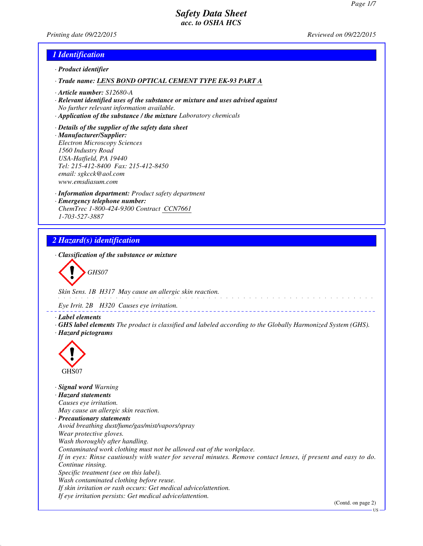*Printing date 09/22/2015 Reviewed on 09/22/2015*

### *1 Identification*

- *· Product identifier*
- *· Trade name: LENS BOND OPTICAL CEMENT TYPE EK-93 PART A*
- *· Article number: S12680-A*
- *· Relevant identified uses of the substance or mixture and uses advised against No further relevant information available.*
- *· Application of the substance / the mixture Laboratory chemicals*
- *· Details of the supplier of the safety data sheet · Manufacturer/Supplier: Electron Microscopy Sciences 1560 Industry Road USA-Hatfield, PA 19440 Tel: 215-412-8400 Fax: 215-412-8450 email: sgkcck@aol.com www.emsdiasum.com*
- *· Information department: Product safety department · Emergency telephone number: ChemTrec 1-800-424-9300 Contract CCN7661 1-703-527-3887*

# *2 Hazard(s) identification*

*· Classification of the substance or mixture*

*GHS07*

*Skin Sens. 1B H317 May cause an allergic skin reaction.*

*Eye Irrit. 2B H320 Causes eye irritation.*

*· Label elements*

*· GHS label elements The product is classified and labeled according to the Globally Harmonized System (GHS). · Hazard pictograms*



*· Signal word Warning · Hazard statements Causes eye irritation. May cause an allergic skin reaction. · Precautionary statements Avoid breathing dust/fume/gas/mist/vapors/spray Wear protective gloves. Wash thoroughly after handling. Contaminated work clothing must not be allowed out of the workplace. If in eyes: Rinse cautiously with water for several minutes. Remove contact lenses, if present and easy to do. Continue rinsing. Specific treatment (see on this label). Wash contaminated clothing before reuse. If skin irritation or rash occurs: Get medical advice/attention. If eye irritation persists: Get medical advice/attention.*

(Contd. on page 2)

US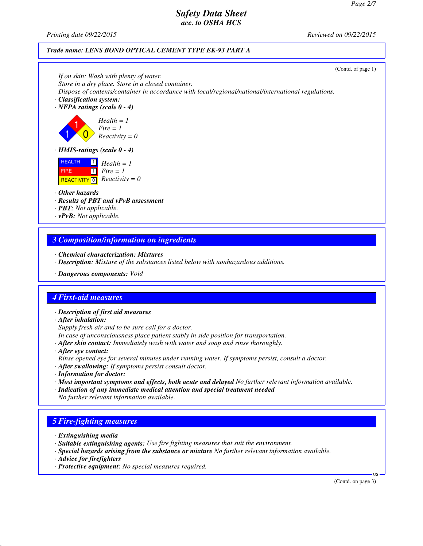*Printing date 09/22/2015 Reviewed on 09/22/2015*

#### *Trade name: LENS BOND OPTICAL CEMENT TYPE EK-93 PART A*



### *3 Composition/information on ingredients*

- *· Chemical characterization: Mixtures*
- *· Description: Mixture of the substances listed below with nonhazardous additions.*
- *· Dangerous components: Void*

### *4 First-aid measures*

- *· Description of first aid measures*
- *· After inhalation:*
- *Supply fresh air and to be sure call for a doctor.*
- *In case of unconsciousness place patient stably in side position for transportation.*
- *· After skin contact: Immediately wash with water and soap and rinse thoroughly.*
- *· After eye contact: Rinse opened eye for several minutes under running water. If symptoms persist, consult a doctor.*
- *· After swallowing: If symptoms persist consult doctor.*
- *· Information for doctor:*
- *· Most important symptoms and effects, both acute and delayed No further relevant information available.*
- *· Indication of any immediate medical attention and special treatment needed No further relevant information available.*

# *5 Fire-fighting measures*

- *· Extinguishing media*
- *· Suitable extinguishing agents: Use fire fighting measures that suit the environment.*
- *· Special hazards arising from the substance or mixture No further relevant information available.*
- *· Advice for firefighters*
- *· Protective equipment: No special measures required.*

(Contd. on page 3)

US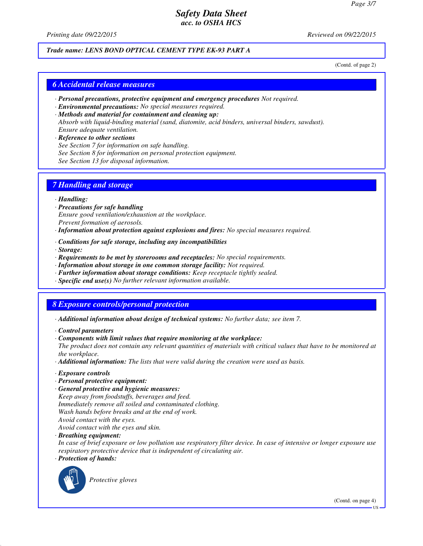*Printing date 09/22/2015 Reviewed on 09/22/2015*

#### *Trade name: LENS BOND OPTICAL CEMENT TYPE EK-93 PART A*

(Contd. of page 2)

#### *6 Accidental release measures*

- *· Personal precautions, protective equipment and emergency procedures Not required.*
- *· Environmental precautions: No special measures required.*
- *· Methods and material for containment and cleaning up: Absorb with liquid-binding material (sand, diatomite, acid binders, universal binders, sawdust). Ensure adequate ventilation.*
- *· Reference to other sections See Section 7 for information on safe handling. See Section 8 for information on personal protection equipment. See Section 13 for disposal information.*

### *7 Handling and storage*

#### *· Handling:*

- *· Precautions for safe handling Ensure good ventilation/exhaustion at the workplace. Prevent formation of aerosols.*
- *· Information about protection against explosions and fires: No special measures required.*
- *· Conditions for safe storage, including any incompatibilities*
- *· Storage:*
- *· Requirements to be met by storerooms and receptacles: No special requirements.*
- *· Information about storage in one common storage facility: Not required.*
- *· Further information about storage conditions: Keep receptacle tightly sealed.*
- *· Specific end use(s) No further relevant information available.*

# *8 Exposure controls/personal protection*

- *· Additional information about design of technical systems: No further data; see item 7.*
- *· Control parameters*
- *· Components with limit values that require monitoring at the workplace:*
- *The product does not contain any relevant quantities of materials with critical values that have to be monitored at the workplace.*
- *· Additional information: The lists that were valid during the creation were used as basis.*
- *· Exposure controls*
- *· Personal protective equipment:*
- *· General protective and hygienic measures: Keep away from foodstuffs, beverages and feed. Immediately remove all soiled and contaminated clothing. Wash hands before breaks and at the end of work. Avoid contact with the eyes.*

*Avoid contact with the eyes and skin.*

*· Breathing equipment:*

*In case of brief exposure or low pollution use respiratory filter device. In case of intensive or longer exposure use respiratory protective device that is independent of circulating air.*

*· Protection of hands:*



*Protective gloves*

(Contd. on page 4)

US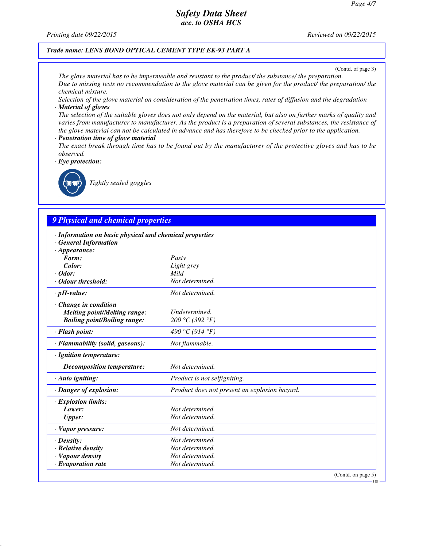*Printing date 09/22/2015 Reviewed on 09/22/2015*

#### *Trade name: LENS BOND OPTICAL CEMENT TYPE EK-93 PART A*

(Contd. of page 3)

*The glove material has to be impermeable and resistant to the product/ the substance/ the preparation. Due to missing tests no recommendation to the glove material can be given for the product/ the preparation/ the chemical mixture.*

*Selection of the glove material on consideration of the penetration times, rates of diffusion and the degradation · Material of gloves*

*The selection of the suitable gloves does not only depend on the material, but also on further marks of quality and varies from manufacturer to manufacturer. As the product is a preparation of several substances, the resistance of the glove material can not be calculated in advance and has therefore to be checked prior to the application.*

- *· Penetration time of glove material*
- *The exact break through time has to be found out by the manufacturer of the protective gloves and has to be observed.*

*· Eye protection:*



*Tightly sealed goggles*

## *9 Physical and chemical properties*

| · Information on basic physical and chemical properties<br><b>General Information</b> |                                               |
|---------------------------------------------------------------------------------------|-----------------------------------------------|
| $\cdot$ Appearance:                                                                   |                                               |
| Form:                                                                                 | Pasty                                         |
| Color:                                                                                | Light grey                                    |
| $\cdot$ Odor:                                                                         | Mild                                          |
| Odour threshold:                                                                      | Not determined.                               |
| $\cdot$ pH-value:                                                                     | Not determined.                               |
| Change in condition                                                                   |                                               |
| <b>Melting point/Melting range:</b>                                                   | Undetermined.                                 |
| <b>Boiling point/Boiling range:</b>                                                   | 200 °C (392 °F)                               |
| · Flash point:                                                                        | 490 °C (914 °F)                               |
| · Flammability (solid, gaseous):                                                      | Not flammable.                                |
| · Ignition temperature:                                                               |                                               |
| Decomposition temperature:                                                            | Not determined.                               |
| · Auto igniting:                                                                      | Product is not selfigniting.                  |
| · Danger of explosion:                                                                | Product does not present an explosion hazard. |
| · Explosion limits:                                                                   |                                               |
| Lower:                                                                                | Not determined.                               |
| <b>Upper:</b>                                                                         | Not determined.                               |
| $\cdot$ Vapor pressure:                                                               | Not determined.                               |
| $\cdot$ Density:                                                                      | Not determined.                               |
| $\cdot$ Relative density                                                              | Not determined.                               |
| · Vapour density                                                                      | Not determined.                               |
| $\cdot$ Evaporation rate                                                              | Not determined.                               |
|                                                                                       | (Contd. on page 5)                            |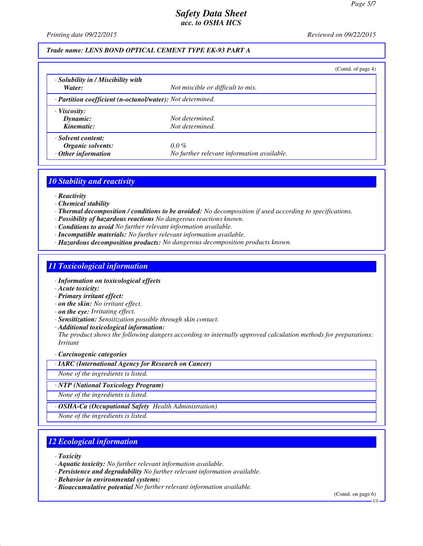*Printing date 09/22/2015 Reviewed on 09/22/2015*

### *Trade name: LENS BOND OPTICAL CEMENT TYPE EK-93 PART A*

|                                                            |                                            | (Contd. of page 4) |
|------------------------------------------------------------|--------------------------------------------|--------------------|
| · Solubility in / Miscibility with                         |                                            |                    |
| Water:                                                     | Not miscible or difficult to mix.          |                    |
| · Partition coefficient (n-octanol/water): Not determined. |                                            |                    |
| $\cdot$ Viscosity:                                         |                                            |                    |
| Dynamic:                                                   | Not determined.                            |                    |
| Kinematic:                                                 | Not determined.                            |                    |
| · Solvent content:                                         |                                            |                    |
| Organic solvents:                                          | $0.0\%$                                    |                    |
| $\cdot$ Other information                                  | No further relevant information available. |                    |

#### *10 Stability and reactivity*

- *· Reactivity*
- *· Chemical stability*
- *· Thermal decomposition / conditions to be avoided: No decomposition if used according to specifications.*
- *· Possibility of hazardous reactions No dangerous reactions known.*
- *· Conditions to avoid No further relevant information available.*
- *· Incompatible materials: No further relevant information available.*
- *· Hazardous decomposition products: No dangerous decomposition products known.*

### *11 Toxicological information*

- *· Information on toxicological effects*
- *· Acute toxicity:*
- *· Primary irritant effect:*
- *· on the skin: No irritant effect.*
- *· on the eye: Irritating effect.*
- *· Sensitization: Sensitization possible through skin contact.*
- *· Additional toxicological information:*

*The product shows the following dangers according to internally approved calculation methods for preparations: Irritant*

#### *· Carcinogenic categories*

*· IARC (International Agency for Research on Cancer)*

*None of the ingredients is listed.*

*· NTP (National Toxicology Program)*

*None of the ingredients is listed.*

*· OSHA-Ca (Occupational Safety Health Administration)*

*None of the ingredients is listed.*

# *12 Ecological information*

*· Toxicity*

- *· Persistence and degradability No further relevant information available.*
- *· Behavior in environmental systems:*
- *· Bioaccumulative potential No further relevant information available.*

(Contd. on page 6)

*<sup>·</sup> Aquatic toxicity: No further relevant information available.*

**TIS**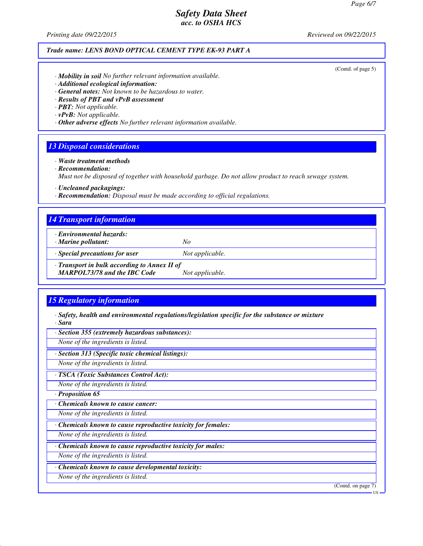*Printing date 09/22/2015 Reviewed on 09/22/2015*

#### *Trade name: LENS BOND OPTICAL CEMENT TYPE EK-93 PART A*

(Contd. of page 5)

- *· Mobility in soil No further relevant information available.*
- *· Additional ecological information:*
- *· General notes: Not known to be hazardous to water.*
- *· Results of PBT and vPvB assessment*
- *· PBT: Not applicable.*
- *· vPvB: Not applicable.*

*· Other adverse effects No further relevant information available.*

#### *13 Disposal considerations*

*· Waste treatment methods*

*· Recommendation:*

*Must not be disposed of together with household garbage. Do not allow product to reach sewage system.*

*· Uncleaned packagings:*

*· Recommendation: Disposal must be made according to official regulations.*

#### *14 Transport information*

- *· Environmental hazards:*
- *· Marine pollutant: No*
- *· Special precautions for user Not applicable.*

*· Transport in bulk according to Annex II of*

*MARPOL73/78 and the IBC Code Not applicable.*

### *15 Regulatory information*

- *· Safety, health and environmental regulations/legislation specific for the substance or mixture · Sara*
- *· Section 355 (extremely hazardous substances):*

*None of the ingredients is listed.*

*· Section 313 (Specific toxic chemical listings):*

*None of the ingredients is listed.*

*· TSCA (Toxic Substances Control Act):*

*None of the ingredients is listed.*

*· Proposition 65*

*· Chemicals known to cause cancer:*

*None of the ingredients is listed.*

*· Chemicals known to cause reproductive toxicity for females:*

*None of the ingredients is listed.*

*· Chemicals known to cause reproductive toxicity for males:*

*None of the ingredients is listed.*

*· Chemicals known to cause developmental toxicity:*

*None of the ingredients is listed.*

(Contd. on page 7)

US